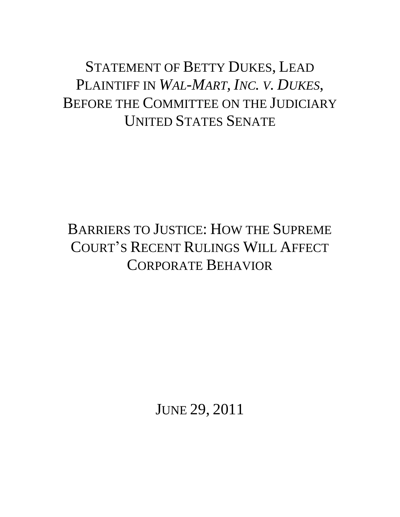## STATEMENT OF BETTY DUKES, LEAD PLAINTIFF IN *WAL-MART, INC. V. DUKES*, BEFORE THE COMMITTEE ON THE JUDICIARY UNITED STATES SENATE

## BARRIERS TO JUSTICE: HOW THE SUPREME COURT'S RECENT RULINGS WILL AFFECT CORPORATE BEHAVIOR

JUNE 29, 2011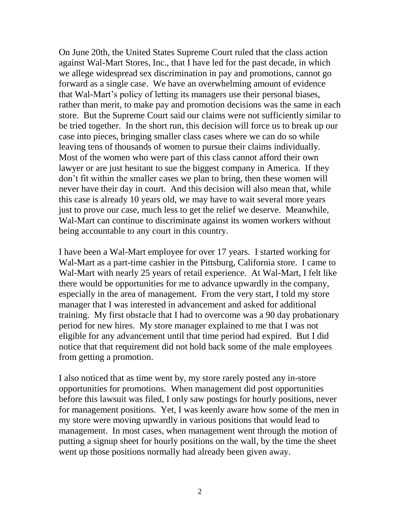On June 20th, the United States Supreme Court ruled that the class action against Wal-Mart Stores, Inc., that I have led for the past decade, in which we allege widespread sex discrimination in pay and promotions, cannot go forward as a single case. We have an overwhelming amount of evidence that Wal-Mart's policy of letting its managers use their personal biases, rather than merit, to make pay and promotion decisions was the same in each store. But the Supreme Court said our claims were not sufficiently similar to be tried together. In the short run, this decision will force us to break up our case into pieces, bringing smaller class cases where we can do so while leaving tens of thousands of women to pursue their claims individually. Most of the women who were part of this class cannot afford their own lawyer or are just hesitant to sue the biggest company in America. If they don't fit within the smaller cases we plan to bring, then these women will never have their day in court. And this decision will also mean that, while this case is already 10 years old, we may have to wait several more years just to prove our case, much less to get the relief we deserve. Meanwhile, Wal-Mart can continue to discriminate against its women workers without being accountable to any court in this country.

I have been a Wal-Mart employee for over 17 years. I started working for Wal-Mart as a part-time cashier in the Pittsburg, California store. I came to Wal-Mart with nearly 25 years of retail experience. At Wal-Mart, I felt like there would be opportunities for me to advance upwardly in the company, especially in the area of management. From the very start, I told my store manager that I was interested in advancement and asked for additional training. My first obstacle that I had to overcome was a 90 day probationary period for new hires. My store manager explained to me that I was not eligible for any advancement until that time period had expired. But I did notice that that requirement did not hold back some of the male employees from getting a promotion.

I also noticed that as time went by, my store rarely posted any in-store opportunities for promotions. When management did post opportunities before this lawsuit was filed, I only saw postings for hourly positions, never for management positions. Yet, I was keenly aware how some of the men in my store were moving upwardly in various positions that would lead to management. In most cases, when management went through the motion of putting a signup sheet for hourly positions on the wall, by the time the sheet went up those positions normally had already been given away.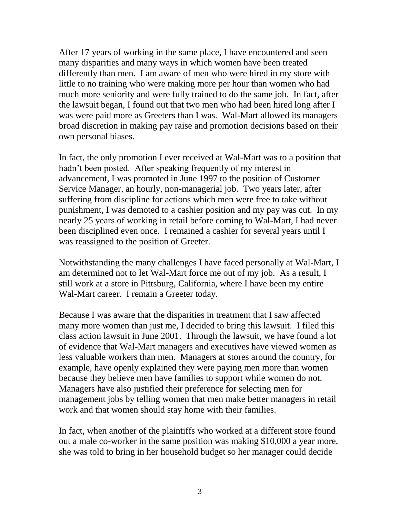After 17 years of working in the same place, I have encountered and seen many disparities and many ways in which women have been treated differently than men. I am aware of men who were hired in my store with little to no training who were making more per hour than women who had much more seniority and were fully trained to do the same job. In fact, after the lawsuit began, I found out that two men who had been hired long after I was were paid more as Greeters than I was. Wal-Mart allowed its managers broad discretion in making pay raise and promotion decisions based on their own personal biases.

In fact, the only promotion I ever received at Wal-Mart was to a position that hadn't been posted. After speaking frequently of my interest in advancement, I was promoted in June 1997 to the position of Customer Service Manager, an hourly, non-managerial job. Two years later, after suffering from discipline for actions which men were free to take without punishment, I was demoted to a cashier position and my pay was cut. In my nearly 25 years of working in retail before coming to Wal-Mart, I had never been disciplined even once. I remained a cashier for several years until I was reassigned to the position of Greeter.

Notwithstanding the many challenges I have faced personally at Wal-Mart, I am determined not to let Wal-Mart force me out of my job. As a result, I still work at a store in Pittsburg, California, where I have been my entire Wal-Mart career. I remain a Greeter today.

Because I was aware that the disparities in treatment that I saw affected many more women than just me, I decided to bring this lawsuit. I filed this class action lawsuit in June 2001. Through the lawsuit, we have found a lot of evidence that Wal-Mart managers and executives have viewed women as less valuable workers than men. Managers at stores around the country, for example, have openly explained they were paying men more than women because they believe men have families to support while women do not. Managers have also justified their preference for selecting men for management jobs by telling women that men make better managers in retail work and that women should stay home with their families.

In fact, when another of the plaintiffs who worked at a different store found out a male co-worker in the same position was making \$10,000 a year more, she was told to bring in her household budget so her manager could decide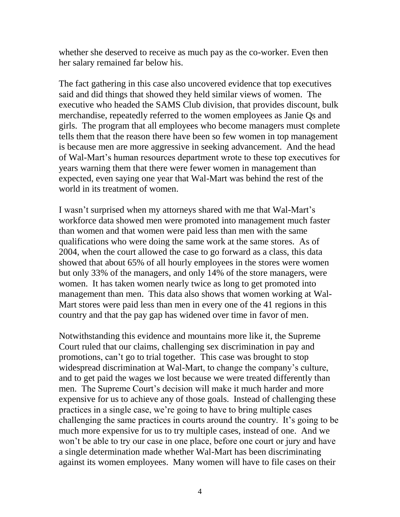whether she deserved to receive as much pay as the co-worker. Even then her salary remained far below his.

The fact gathering in this case also uncovered evidence that top executives said and did things that showed they held similar views of women. The executive who headed the SAMS Club division, that provides discount, bulk merchandise, repeatedly referred to the women employees as Janie Qs and girls. The program that all employees who become managers must complete tells them that the reason there have been so few women in top management is because men are more aggressive in seeking advancement. And the head of Wal-Mart's human resources department wrote to these top executives for years warning them that there were fewer women in management than expected, even saying one year that Wal-Mart was behind the rest of the world in its treatment of women.

I wasn't surprised when my attorneys shared with me that Wal-Mart's workforce data showed men were promoted into management much faster than women and that women were paid less than men with the same qualifications who were doing the same work at the same stores. As of 2004, when the court allowed the case to go forward as a class, this data showed that about 65% of all hourly employees in the stores were women but only 33% of the managers, and only 14% of the store managers, were women. It has taken women nearly twice as long to get promoted into management than men. This data also shows that women working at Wal-Mart stores were paid less than men in every one of the 41 regions in this country and that the pay gap has widened over time in favor of men.

Notwithstanding this evidence and mountains more like it, the Supreme Court ruled that our claims, challenging sex discrimination in pay and promotions, can't go to trial together. This case was brought to stop widespread discrimination at Wal-Mart, to change the company's culture, and to get paid the wages we lost because we were treated differently than men. The Supreme Court's decision will make it much harder and more expensive for us to achieve any of those goals. Instead of challenging these practices in a single case, we're going to have to bring multiple cases challenging the same practices in courts around the country. It's going to be much more expensive for us to try multiple cases, instead of one. And we won't be able to try our case in one place, before one court or jury and have a single determination made whether Wal-Mart has been discriminating against its women employees. Many women will have to file cases on their